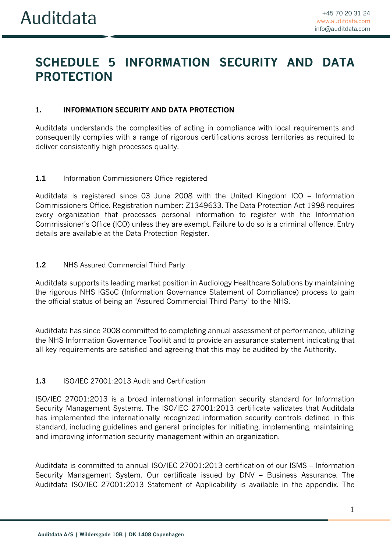# **SCHEDULE 5 INFORMATION SECURITY AND DATA PROTECTION**

## **1. INFORMATION SECURITY AND DATA PROTECTION**

Auditdata understands the complexities of acting in compliance with local requirements and consequently complies with a range of rigorous certifications across territories as required to deliver consistently high processes quality.

## 1.1 Information Commissioners Office registered

Auditdata is registered since 03 June 2008 with the United Kingdom ICO – Information Commissioners Office. Registration number: Z1349633. The Data Protection Act 1998 requires every organization that processes personal information to register with the Information Commissioner's Office (ICO) unless they are exempt. Failure to do so is a criminal offence. Entry details are available at the Data Protection Register.

## **1.2** NHS Assured Commercial Third Party

Auditdata supports its leading market position in Audiology Healthcare Solutions by maintaining the rigorous NHS IGSoC (Information Governance Statement of Compliance) process to gain the official status of being an 'Assured Commercial Third Party' to the NHS.

Auditdata has since 2008 committed to completing annual assessment of performance, utilizing the NHS Information Governance Toolkit and to provide an assurance statement indicating that all key requirements are satisfied and agreeing that this may be audited by the Authority.

## **1.3** ISO/IEC 27001:2013 Audit and Certification

ISO/IEC 27001:2013 is a broad international information security standard for Information Security Management Systems. The ISO/IEC 27001:2013 certificate validates that Auditdata has implemented the internationally recognized information security controls defined in this standard, including guidelines and general principles for initiating, implementing, maintaining, and improving information security management within an organization.

Auditdata is committed to annual ISO/IEC 27001:2013 certification of our ISMS – Information Security Management System. Our certificate issued by DNV – Business Assurance. The Auditdata ISO/IEC 27001:2013 Statement of Applicability is available in the appendix. The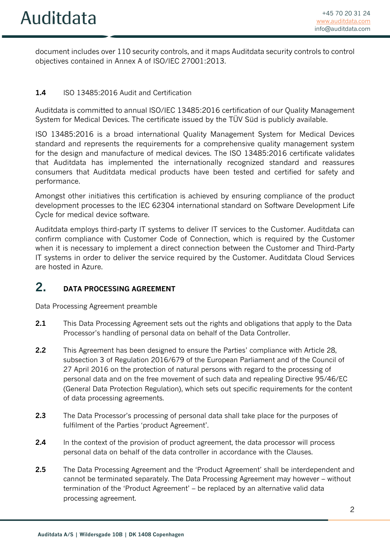document includes over 110 security controls, and it maps Auditdata security controls to control objectives contained in Annex A of ISO/IEC 27001:2013.

## **1.4** ISO 13485:2016 Audit and Certification

Auditdata is committed to annual ISO/IEC 13485:2016 certification of our Quality Management System for Medical Devices. The certificate issued by the TÜV Süd is publicly available.

ISO 13485:2016 is a broad international Quality Management System for Medical Devices standard and represents the requirements for a comprehensive quality management system for the design and manufacture of medical devices. The ISO 13485:2016 certificate validates that Auditdata has implemented the internationally recognized standard and reassures consumers that Auditdata medical products have been tested and certified for safety and performance.

Amongst other initiatives this certification is achieved by ensuring compliance of the product development processes to the IEC 62304 international standard on Software Development Life Cycle for medical device software.

Auditdata employs third-party IT systems to deliver IT services to the Customer. Auditdata can confirm compliance with Customer Code of Connection, which is required by the Customer when it is necessary to implement a direct connection between the Customer and Third-Party IT systems in order to deliver the service required by the Customer. Auditdata Cloud Services are hosted in Azure.

## **2. DATA PROCESSING AGREEMENT**

Data Processing Agreement preamble

- **2.1** This Data Processing Agreement sets out the rights and obligations that apply to the Data Processor's handling of personal data on behalf of the Data Controller.
- **2.2** This Agreement has been designed to ensure the Parties' compliance with Article 28, subsection 3 of Regulation 2016/679 of the European Parliament and of the Council of 27 April 2016 on the protection of natural persons with regard to the processing of personal data and on the free movement of such data and repealing Directive 95/46/EC (General Data Protection Regulation), which sets out specific requirements for the content of data processing agreements.
- **2.3** The Data Processor's processing of personal data shall take place for the purposes of fulfilment of the Parties 'product Agreement'.
- **2.4** In the context of the provision of product agreement, the data processor will process personal data on behalf of the data controller in accordance with the Clauses.
- **2.5** The Data Processing Agreement and the 'Product Agreement' shall be interdependent and cannot be terminated separately. The Data Processing Agreement may however – without termination of the 'Product Agreement' – be replaced by an alternative valid data processing agreement.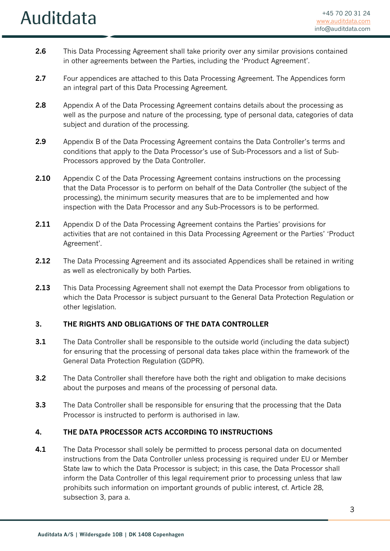- **2.6** This Data Processing Agreement shall take priority over any similar provisions contained in other agreements between the Parties, including the 'Product Agreement'.
- **2.7** Four appendices are attached to this Data Processing Agreement. The Appendices form an integral part of this Data Processing Agreement.
- **2.8** Appendix A of the Data Processing Agreement contains details about the processing as well as the purpose and nature of the processing, type of personal data, categories of data subject and duration of the processing.
- **2.9** Appendix B of the Data Processing Agreement contains the Data Controller's terms and conditions that apply to the Data Processor's use of Sub-Processors and a list of Sub-Processors approved by the Data Controller.
- **2.10** Appendix C of the Data Processing Agreement contains instructions on the processing that the Data Processor is to perform on behalf of the Data Controller (the subject of the processing), the minimum security measures that are to be implemented and how inspection with the Data Processor and any Sub-Processors is to be performed.
- **2.11** Appendix D of the Data Processing Agreement contains the Parties' provisions for activities that are not contained in this Data Processing Agreement or the Parties' 'Product Agreement'.
- **2.12** The Data Processing Agreement and its associated Appendices shall be retained in writing as well as electronically by both Parties.
- **2.13** This Data Processing Agreement shall not exempt the Data Processor from obligations to which the Data Processor is subject pursuant to the General Data Protection Regulation or other legislation.

## **3. THE RIGHTS AND OBLIGATIONS OF THE DATA CONTROLLER**

- **3.1** The Data Controller shall be responsible to the outside world (including the data subject) for ensuring that the processing of personal data takes place within the framework of the General Data Protection Regulation (GDPR).
- **3.2** The Data Controller shall therefore have both the right and obligation to make decisions about the purposes and means of the processing of personal data.
- **3.3** The Data Controller shall be responsible for ensuring that the processing that the Data Processor is instructed to perform is authorised in law.

## **4. THE DATA PROCESSOR ACTS ACCORDING TO INSTRUCTIONS**

**4.1** The Data Processor shall solely be permitted to process personal data on documented instructions from the Data Controller unless processing is required under EU or Member State law to which the Data Processor is subject; in this case, the Data Processor shall inform the Data Controller of this legal requirement prior to processing unless that law prohibits such information on important grounds of public interest, cf. Article 28, subsection 3, para a.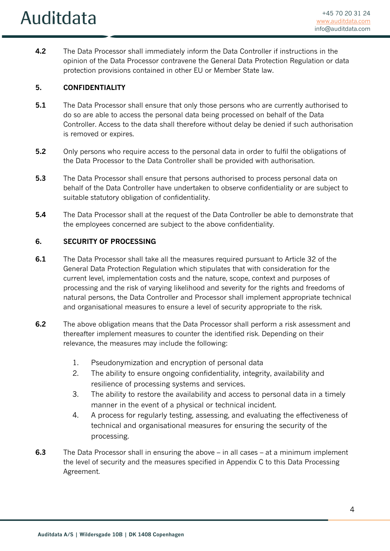**4.2** The Data Processor shall immediately inform the Data Controller if instructions in the opinion of the Data Processor contravene the General Data Protection Regulation or data protection provisions contained in other EU or Member State law.

## **5. CONFIDENTIALITY**

- **5.1** The Data Processor shall ensure that only those persons who are currently authorised to do so are able to access the personal data being processed on behalf of the Data Controller. Access to the data shall therefore without delay be denied if such authorisation is removed or expires.
- **5.2** Only persons who require access to the personal data in order to fulfil the obligations of the Data Processor to the Data Controller shall be provided with authorisation.
- **5.3** The Data Processor shall ensure that persons authorised to process personal data on behalf of the Data Controller have undertaken to observe confidentiality or are subject to suitable statutory obligation of confidentiality.
- **5.4** The Data Processor shall at the request of the Data Controller be able to demonstrate that the employees concerned are subject to the above confidentiality.

## **6. SECURITY OF PROCESSING**

- **6.1** The Data Processor shall take all the measures required pursuant to Article 32 of the General Data Protection Regulation which stipulates that with consideration for the current level, implementation costs and the nature, scope, context and purposes of processing and the risk of varying likelihood and severity for the rights and freedoms of natural persons, the Data Controller and Processor shall implement appropriate technical and organisational measures to ensure a level of security appropriate to the risk.
- **6.2** The above obligation means that the Data Processor shall perform a risk assessment and thereafter implement measures to counter the identified risk. Depending on their relevance, the measures may include the following:
	- 1. Pseudonymization and encryption of personal data
	- 2. The ability to ensure ongoing confidentiality, integrity, availability and resilience of processing systems and services.
	- 3. The ability to restore the availability and access to personal data in a timely manner in the event of a physical or technical incident.
	- 4. A process for regularly testing, assessing, and evaluating the effectiveness of technical and organisational measures for ensuring the security of the processing.
- **6.3** The Data Processor shall in ensuring the above in all cases at a minimum implement the level of security and the measures specified in Appendix C to this Data Processing Agreement.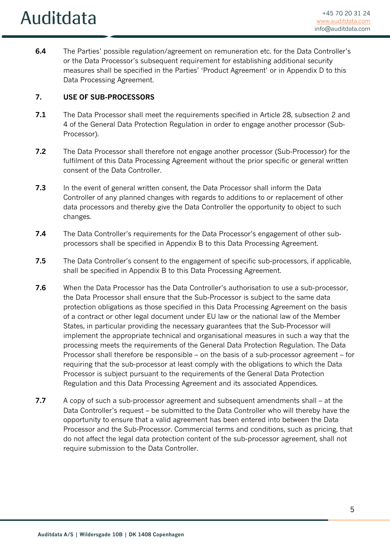**6.4** The Parties' possible regulation/agreement on remuneration etc. for the Data Controller's or the Data Processor's subsequent requirement for establishing additional security measures shall be specified in the Parties' 'Product Agreement' or in Appendix D to this Data Processing Agreement.

## **7. USE OF SUB-PROCESSORS**

- **7.1** The Data Processor shall meet the requirements specified in Article 28, subsection 2 and 4 of the General Data Protection Regulation in order to engage another processor (Sub-Processor).
- **7.2** The Data Processor shall therefore not engage another processor (Sub-Processor) for the fulfilment of this Data Processing Agreement without the prior specific or general written consent of the Data Controller.
- **7.3** In the event of general written consent, the Data Processor shall inform the Data Controller of any planned changes with regards to additions to or replacement of other data processors and thereby give the Data Controller the opportunity to object to such changes.
- **7.4** The Data Controller's requirements for the Data Processor's engagement of other subprocessors shall be specified in Appendix B to this Data Processing Agreement.
- **7.5** The Data Controller's consent to the engagement of specific sub-processors, if applicable, shall be specified in Appendix B to this Data Processing Agreement.
- **7.6** When the Data Processor has the Data Controller's authorisation to use a sub-processor, the Data Processor shall ensure that the Sub-Processor is subject to the same data protection obligations as those specified in this Data Processing Agreement on the basis of a contract or other legal document under EU law or the national law of the Member States, in particular providing the necessary guarantees that the Sub-Processor will implement the appropriate technical and organisational measures in such a way that the processing meets the requirements of the General Data Protection Regulation. The Data Processor shall therefore be responsible – on the basis of a sub-processor agreement – for requiring that the sub-processor at least comply with the obligations to which the Data Processor is subject pursuant to the requirements of the General Data Protection Regulation and this Data Processing Agreement and its associated Appendices.
- **7.7** A copy of such a sub-processor agreement and subsequent amendments shall at the Data Controller's request – be submitted to the Data Controller who will thereby have the opportunity to ensure that a valid agreement has been entered into between the Data Processor and the Sub-Processor. Commercial terms and conditions, such as pricing, that do not affect the legal data protection content of the sub-processor agreement, shall not require submission to the Data Controller.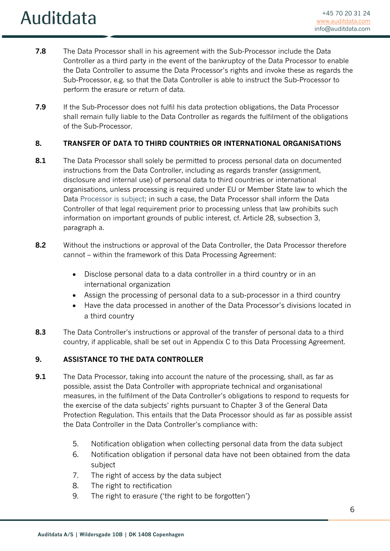- **7.8** The Data Processor shall in his agreement with the Sub-Processor include the Data Controller as a third party in the event of the bankruptcy of the Data Processor to enable the Data Controller to assume the Data Processor's rights and invoke these as regards the Sub-Processor, e.g. so that the Data Controller is able to instruct the Sub-Processor to perform the erasure or return of data.
- **7.9** If the Sub-Processor does not fulfil his data protection obligations, the Data Processor shall remain fully liable to the Data Controller as regards the fulfilment of the obligations of the Sub-Processor.

## **8. TRANSFER OF DATA TO THIRD COUNTRIES OR INTERNATIONAL ORGANISATIONS**

- **8.1** The Data Processor shall solely be permitted to process personal data on documented instructions from the Data Controller, including as regards transfer (assignment, disclosure and internal use) of personal data to third countries or international organisations, unless processing is required under EU or Member State law to which the Data Processor is subject; in such a case, the Data Processor shall inform the Data Controller of that legal requirement prior to processing unless that law prohibits such information on important grounds of public interest, cf. Article 28, subsection 3, paragraph a.
- **8.2** Without the instructions or approval of the Data Controller, the Data Processor therefore cannot – within the framework of this Data Processing Agreement:
	- Disclose personal data to a data controller in a third country or in an international organization
	- Assign the processing of personal data to a sub-processor in a third country
	- Have the data processed in another of the Data Processor's divisions located in a third country
- **8.3** The Data Controller's instructions or approval of the transfer of personal data to a third country, if applicable, shall be set out in Appendix C to this Data Processing Agreement.

## **9. ASSISTANCE TO THE DATA CONTROLLER**

- **9.1** The Data Processor, taking into account the nature of the processing, shall, as far as possible, assist the Data Controller with appropriate technical and organisational measures, in the fulfilment of the Data Controller's obligations to respond to requests for the exercise of the data subjects' rights pursuant to Chapter 3 of the General Data Protection Regulation. This entails that the Data Processor should as far as possible assist the Data Controller in the Data Controller's compliance with:
	- 5. Notification obligation when collecting personal data from the data subject
	- 6. Notification obligation if personal data have not been obtained from the data subject
	- 7. The right of access by the data subject
	- 8. The right to rectification
	- 9. The right to erasure ('the right to be forgotten')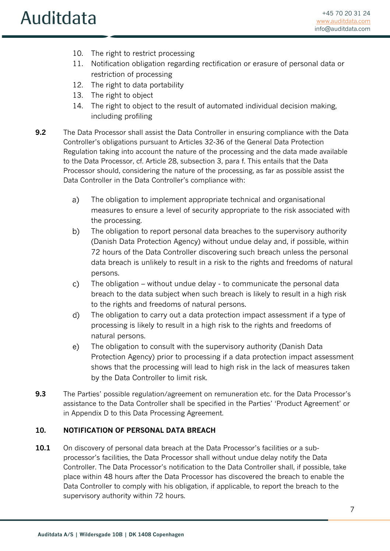- 10. The right to restrict processing
- 11. Notification obligation regarding rectification or erasure of personal data or restriction of processing
- 12. The right to data portability
- 13. The right to object
- 14. The right to object to the result of automated individual decision making, including profiling
- **9.2** The Data Processor shall assist the Data Controller in ensuring compliance with the Data Controller's obligations pursuant to Articles 32-36 of the General Data Protection Regulation taking into account the nature of the processing and the data made available to the Data Processor, cf. Article 28, subsection 3, para f. This entails that the Data Processor should, considering the nature of the processing, as far as possible assist the Data Controller in the Data Controller's compliance with:
	- a) The obligation to implement appropriate technical and organisational measures to ensure a level of security appropriate to the risk associated with the processing.
	- b) The obligation to report personal data breaches to the supervisory authority (Danish Data Protection Agency) without undue delay and, if possible, within 72 hours of the Data Controller discovering such breach unless the personal data breach is unlikely to result in a risk to the rights and freedoms of natural persons.
	- $\mathcal{C}$ ) The obligation – without undue delay - to communicate the personal data breach to the data subject when such breach is likely to result in a high risk to the rights and freedoms of natural persons.
	- d) The obligation to carry out a data protection impact assessment if a type of processing is likely to result in a high risk to the rights and freedoms of natural persons.
	- $e)$ The obligation to consult with the supervisory authority (Danish Data Protection Agency) prior to processing if a data protection impact assessment shows that the processing will lead to high risk in the lack of measures taken by the Data Controller to limit risk.
- **9.3** The Parties' possible regulation/agreement on remuneration etc. for the Data Processor's assistance to the Data Controller shall be specified in the Parties' 'Product Agreement' or in Appendix D to this Data Processing Agreement.

## **10. NOTIFICATION OF PERSONAL DATA BREACH**

**10.1** On discovery of personal data breach at the Data Processor's facilities or a subprocessor's facilities, the Data Processor shall without undue delay notify the Data Controller. The Data Processor's notification to the Data Controller shall, if possible, take place within 48 hours after the Data Processor has discovered the breach to enable the Data Controller to comply with his obligation, if applicable, to report the breach to the supervisory authority within 72 hours.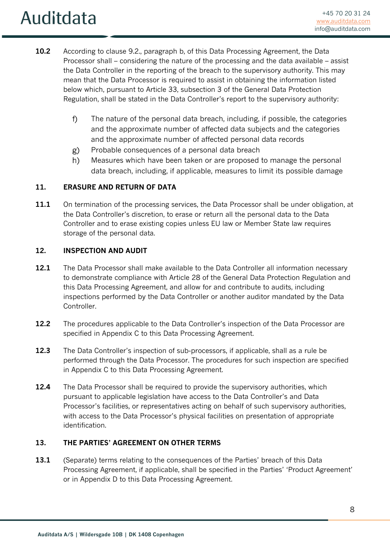- **10.2** According to clause 9.2., paragraph b, of this Data Processing Agreement, the Data Processor shall – considering the nature of the processing and the data available – assist the Data Controller in the reporting of the breach to the supervisory authority. This may mean that the Data Processor is required to assist in obtaining the information listed below which, pursuant to Article 33, subsection 3 of the General Data Protection Regulation, shall be stated in the Data Controller's report to the supervisory authority:
	- $f$ The nature of the personal data breach, including, if possible, the categories and the approximate number of affected data subjects and the categories and the approximate number of affected personal data records
	- Probable consequences of a personal data breach g)
	- $h)$ Measures which have been taken or are proposed to manage the personal data breach, including, if applicable, measures to limit its possible damage

## **11. ERASURE AND RETURN OF DATA**

**11.1** On termination of the processing services, the Data Processor shall be under obligation, at the Data Controller's discretion, to erase or return all the personal data to the Data Controller and to erase existing copies unless EU law or Member State law requires storage of the personal data.

## **12. INSPECTION AND AUDIT**

- **12.1** The Data Processor shall make available to the Data Controller all information necessary to demonstrate compliance with Article 28 of the General Data Protection Regulation and this Data Processing Agreement, and allow for and contribute to audits, including inspections performed by the Data Controller or another auditor mandated by the Data Controller.
- **12.2** The procedures applicable to the Data Controller's inspection of the Data Processor are specified in Appendix C to this Data Processing Agreement.
- **12.3** The Data Controller's inspection of sub-processors, if applicable, shall as a rule be performed through the Data Processor. The procedures for such inspection are specified in Appendix C to this Data Processing Agreement.
- **12.4** The Data Processor shall be required to provide the supervisory authorities, which pursuant to applicable legislation have access to the Data Controller's and Data Processor's facilities, or representatives acting on behalf of such supervisory authorities, with access to the Data Processor's physical facilities on presentation of appropriate identification.

## **13. THE PARTIES' AGREEMENT ON OTHER TERMS**

**13.1** (Separate) terms relating to the consequences of the Parties' breach of this Data Processing Agreement, if applicable, shall be specified in the Parties' 'Product Agreement' or in Appendix D to this Data Processing Agreement.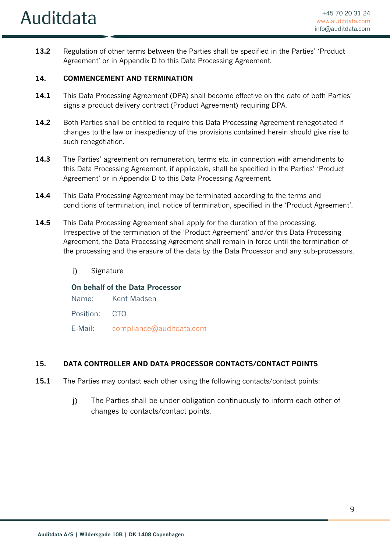**13.2** Regulation of other terms between the Parties shall be specified in the Parties' 'Product Agreement' or in Appendix D to this Data Processing Agreement.

## **14. COMMENCEMENT AND TERMINATION**

- **14.1** This Data Processing Agreement (DPA) shall become effective on the date of both Parties' signs a product delivery contract (Product Agreement) requiring DPA.
- 14.2 Both Parties shall be entitled to require this Data Processing Agreement renegotiated if changes to the law or inexpediency of the provisions contained herein should give rise to such renegotiation.
- **14.3** The Parties' agreement on remuneration, terms etc. in connection with amendments to this Data Processing Agreement, if applicable, shall be specified in the Parties' 'Product Agreement' or in Appendix D to this Data Processing Agreement.
- **14.4** This Data Processing Agreement may be terminated according to the terms and conditions of termination, incl. notice of termination, specified in the 'Product Agreement'.
- **14.5** This Data Processing Agreement shall apply for the duration of the processing. Irrespective of the termination of the 'Product Agreement' and/or this Data Processing Agreement, the Data Processing Agreement shall remain in force until the termination of the processing and the erasure of the data by the Data Processor and any sub-processors.
	- $i)$ **Signature**

## **On behalf of the Data Processor**

- Name: Kent Madsen
- Position: CTO
- E-Mail: compliance@auditdata.com

## **15. DATA CONTROLLER AND DATA PROCESSOR CONTACTS/CONTACT POINTS**

- **15.1** The Parties may contact each other using the following contacts/contact points:
	- $\overline{1}$ The Parties shall be under obligation continuously to inform each other of changes to contacts/contact points.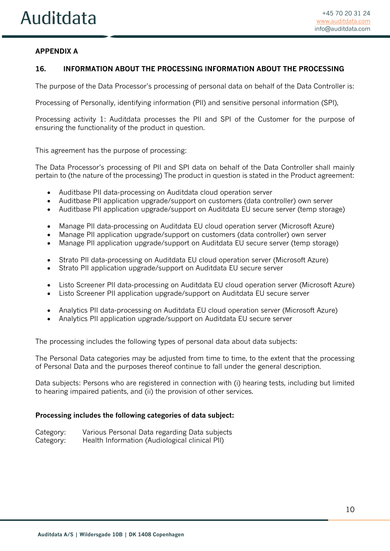## **APPENDIX A**

#### **16. INFORMATION ABOUT THE PROCESSING INFORMATION ABOUT THE PROCESSING**

The purpose of the Data Processor's processing of personal data on behalf of the Data Controller is:

Processing of Personally, identifying information (PII) and sensitive personal information (SPI),

Processing activity 1: Auditdata processes the PII and SPI of the Customer for the purpose of ensuring the functionality of the product in question.

This agreement has the purpose of processing:

The Data Processor's processing of PII and SPI data on behalf of the Data Controller shall mainly pertain to (the nature of the processing) The product in question is stated in the Product agreement:

- Auditbase PII data-processing on Auditdata cloud operation server
- Auditbase PII application upgrade/support on customers (data controller) own server
- Auditbase PII application upgrade/support on Auditdata EU secure server (temp storage)
- Manage PII data-processing on Auditdata EU cloud operation server (Microsoft Azure)
- Manage PII application upgrade/support on customers (data controller) own server
- Manage PII application upgrade/support on Auditdata EU secure server (temp storage)
- Strato PII data-processing on Auditdata EU cloud operation server (Microsoft Azure)
- Strato PII application upgrade/support on Auditdata EU secure server
- Listo Screener PII data-processing on Auditdata EU cloud operation server (Microsoft Azure)
- Listo Screener PII application upgrade/support on Auditdata EU secure server
- Analytics PII data-processing on Auditdata EU cloud operation server (Microsoft Azure)
- Analytics PII application upgrade/support on Auditdata EU secure server

The processing includes the following types of personal data about data subjects:

The Personal Data categories may be adjusted from time to time, to the extent that the processing of Personal Data and the purposes thereof continue to fall under the general description.

Data subjects: Persons who are registered in connection with (i) hearing tests, including but limited to hearing impaired patients, and (ii) the provision of other services.

#### **Processing includes the following categories of data subject:**

| Category: | Various Personal Data regarding Data subjects  |
|-----------|------------------------------------------------|
| Category: | Health Information (Audiological clinical PII) |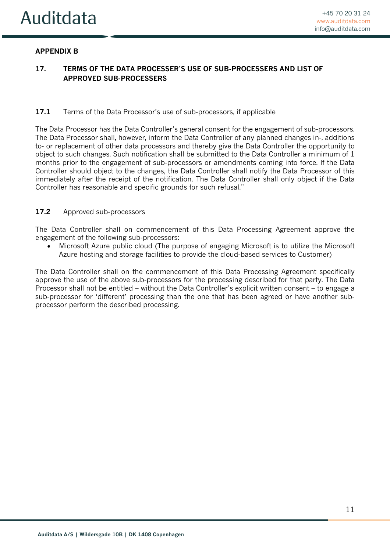## **APPENDIX B**

## **17. TERMS OF THE DATA PROCESSER'S USE OF SUB-PROCESSERS AND LIST OF APPROVED SUB-PROCESSERS**

#### **17.1** Terms of the Data Processor's use of sub-processors, if applicable

The Data Processor has the Data Controller's general consent for the engagement of sub-processors. The Data Processor shall, however, inform the Data Controller of any planned changes in-, additions to- or replacement of other data processors and thereby give the Data Controller the opportunity to object to such changes. Such notification shall be submitted to the Data Controller a minimum of 1 months prior to the engagement of sub-processors or amendments coming into force. If the Data Controller should object to the changes, the Data Controller shall notify the Data Processor of this immediately after the receipt of the notification. The Data Controller shall only object if the Data Controller has reasonable and specific grounds for such refusal."

#### **17.2** Approved sub-processors

The Data Controller shall on commencement of this Data Processing Agreement approve the engagement of the following sub-processors:

• Microsoft Azure public cloud (The purpose of engaging Microsoft is to utilize the Microsoft Azure hosting and storage facilities to provide the cloud-based services to Customer)

The Data Controller shall on the commencement of this Data Processing Agreement specifically approve the use of the above sub-processors for the processing described for that party. The Data Processor shall not be entitled – without the Data Controller's explicit written consent – to engage a sub-processor for 'different' processing than the one that has been agreed or have another subprocessor perform the described processing.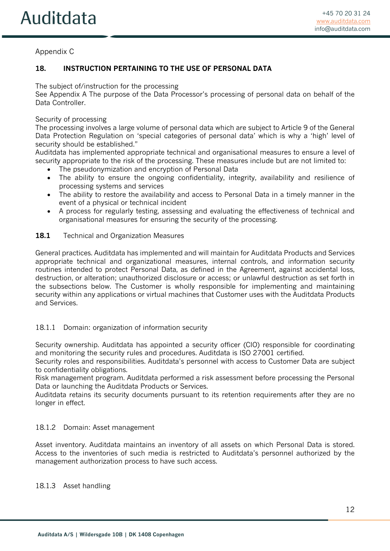## Appendix C

## **18. INSTRUCTION PERTAINING TO THE USE OF PERSONAL DATA**

The subject of/instruction for the processing

See Appendix A The purpose of the Data Processor's processing of personal data on behalf of the Data Controller.

#### Security of processing

The processing involves a large volume of personal data which are subject to Article 9 of the General Data Protection Regulation on 'special categories of personal data' which is why a 'high' level of security should be established."

Auditdata has implemented appropriate technical and organisational measures to ensure a level of security appropriate to the risk of the processing. These measures include but are not limited to:

- The pseudonymization and encryption of Personal Data
- The ability to ensure the ongoing confidentiality, integrity, availability and resilience of processing systems and services
- The ability to restore the availability and access to Personal Data in a timely manner in the event of a physical or technical incident
- A process for regularly testing, assessing and evaluating the effectiveness of technical and organisational measures for ensuring the security of the processing.

#### 18.1 Technical and Organization Measures

General practices. Auditdata has implemented and will maintain for Auditdata Products and Services appropriate technical and organizational measures, internal controls, and information security routines intended to protect Personal Data, as defined in the Agreement, against accidental loss, destruction, or alteration; unauthorized disclosure or access; or unlawful destruction as set forth in the subsections below. The Customer is wholly responsible for implementing and maintaining security within any applications or virtual machines that Customer uses with the Auditdata Products and Services.

#### 18.1.1 Domain: organization of information security

Security ownership. Auditdata has appointed a security officer (CIO) responsible for coordinating and monitoring the security rules and procedures. Auditdata is ISO 27001 certified.

Security roles and responsibilities. Auditdata's personnel with access to Customer Data are subject to confidentiality obligations.

Risk management program. Auditdata performed a risk assessment before processing the Personal Data or launching the Auditdata Products or Services.

Auditdata retains its security documents pursuant to its retention requirements after they are no longer in effect.

#### 18.1.2 Domain: Asset management

Asset inventory. Auditdata maintains an inventory of all assets on which Personal Data is stored. Access to the inventories of such media is restricted to Auditdata's personnel authorized by the management authorization process to have such access.

#### 18.1.3 Asset handling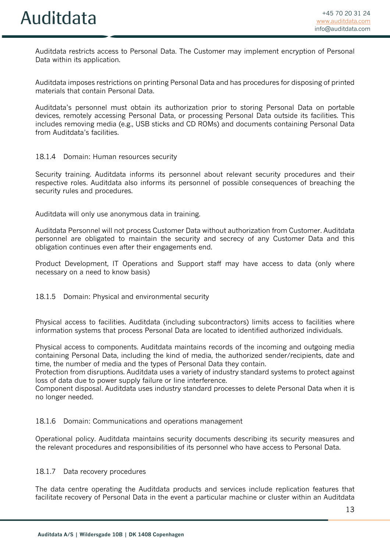Auditdata restricts access to Personal Data. The Customer may implement encryption of Personal Data within its application.

Auditdata imposes restrictions on printing Personal Data and has procedures for disposing of printed materials that contain Personal Data.

Auditdata's personnel must obtain its authorization prior to storing Personal Data on portable devices, remotely accessing Personal Data, or processing Personal Data outside its facilities. This includes removing media (e.g., USB sticks and CD ROMs) and documents containing Personal Data from Auditdata's facilities.

#### 18.1.4 Domain: Human resources security

Security training. Auditdata informs its personnel about relevant security procedures and their respective roles. Auditdata also informs its personnel of possible consequences of breaching the security rules and procedures.

Auditdata will only use anonymous data in training.

Auditdata Personnel will not process Customer Data without authorization from Customer. Auditdata personnel are obligated to maintain the security and secrecy of any Customer Data and this obligation continues even after their engagements end.

Product Development, IT Operations and Support staff may have access to data (only where necessary on a need to know basis)

#### 18.1.5 Domain: Physical and environmental security

Physical access to facilities. Auditdata (including subcontractors) limits access to facilities where information systems that process Personal Data are located to identified authorized individuals.

Physical access to components. Auditdata maintains records of the incoming and outgoing media containing Personal Data, including the kind of media, the authorized sender/recipients, date and time, the number of media and the types of Personal Data they contain.

Protection from disruptions. Auditdata uses a variety of industry standard systems to protect against loss of data due to power supply failure or line interference.

Component disposal. Auditdata uses industry standard processes to delete Personal Data when it is no longer needed.

#### 18.1.6 Domain: Communications and operations management

Operational policy. Auditdata maintains security documents describing its security measures and the relevant procedures and responsibilities of its personnel who have access to Personal Data.

#### 18.1.7 Data recovery procedures

The data centre operating the Auditdata products and services include replication features that facilitate recovery of Personal Data in the event a particular machine or cluster within an Auditdata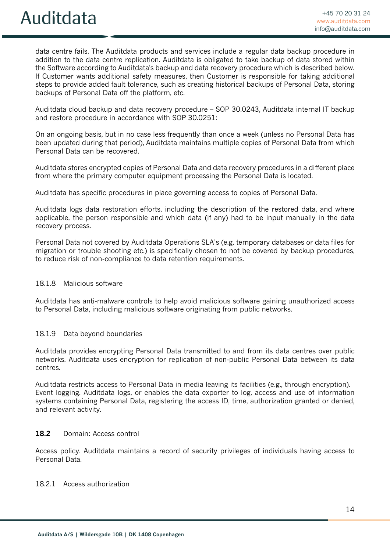data centre fails. The Auditdata products and services include a regular data backup procedure in addition to the data centre replication. Auditdata is obligated to take backup of data stored within the Software according to Auditdata's backup and data recovery procedure which is described below. If Customer wants additional safety measures, then Customer is responsible for taking additional steps to provide added fault tolerance, such as creating historical backups of Personal Data, storing backups of Personal Data off the platform, etc.

Auditdata cloud backup and data recovery procedure – SOP 30.0243, Auditdata internal IT backup and restore procedure in accordance with SOP 30.0251:

On an ongoing basis, but in no case less frequently than once a week (unless no Personal Data has been updated during that period), Auditdata maintains multiple copies of Personal Data from which Personal Data can be recovered.

Auditdata stores encrypted copies of Personal Data and data recovery procedures in a different place from where the primary computer equipment processing the Personal Data is located.

Auditdata has specific procedures in place governing access to copies of Personal Data.

Auditdata logs data restoration efforts, including the description of the restored data, and where applicable, the person responsible and which data (if any) had to be input manually in the data recovery process.

Personal Data not covered by Auditdata Operations SLA's (e.g. temporary databases or data files for migration or trouble shooting etc.) is specifically chosen to not be covered by backup procedures, to reduce risk of non-compliance to data retention requirements.

#### 18.1.8 Malicious software

Auditdata has anti-malware controls to help avoid malicious software gaining unauthorized access to Personal Data, including malicious software originating from public networks.

#### 18.1.9 Data beyond boundaries

Auditdata provides encrypting Personal Data transmitted to and from its data centres over public networks. Auditdata uses encryption for replication of non-public Personal Data between its data centres.

Auditdata restricts access to Personal Data in media leaving its facilities (e.g., through encryption). Event logging. Auditdata logs, or enables the data exporter to log, access and use of information systems containing Personal Data, registering the access ID, time, authorization granted or denied, and relevant activity.

#### **18.2** Domain: Access control

Access policy. Auditdata maintains a record of security privileges of individuals having access to Personal Data.

18.2.1 Access authorization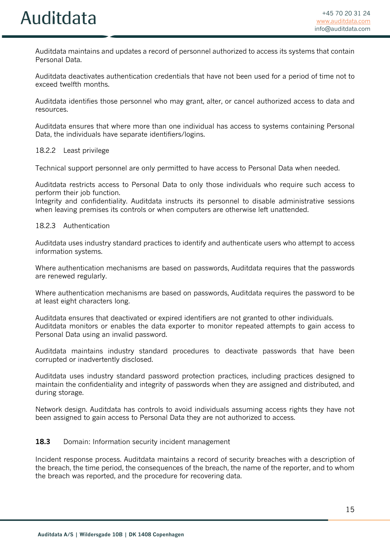Auditdata maintains and updates a record of personnel authorized to access its systems that contain Personal Data.

Auditdata deactivates authentication credentials that have not been used for a period of time not to exceed twelfth months.

Auditdata identifies those personnel who may grant, alter, or cancel authorized access to data and resources.

Auditdata ensures that where more than one individual has access to systems containing Personal Data, the individuals have separate identifiers/logins.

18.2.2 Least privilege

Technical support personnel are only permitted to have access to Personal Data when needed.

Auditdata restricts access to Personal Data to only those individuals who require such access to perform their job function.

Integrity and confidentiality. Auditdata instructs its personnel to disable administrative sessions when leaving premises its controls or when computers are otherwise left unattended.

#### 18.2.3 Authentication

Auditdata uses industry standard practices to identify and authenticate users who attempt to access information systems.

Where authentication mechanisms are based on passwords, Auditdata requires that the passwords are renewed regularly.

Where authentication mechanisms are based on passwords, Auditdata requires the password to be at least eight characters long.

Auditdata ensures that deactivated or expired identifiers are not granted to other individuals. Auditdata monitors or enables the data exporter to monitor repeated attempts to gain access to Personal Data using an invalid password.

Auditdata maintains industry standard procedures to deactivate passwords that have been corrupted or inadvertently disclosed.

Auditdata uses industry standard password protection practices, including practices designed to maintain the confidentiality and integrity of passwords when they are assigned and distributed, and during storage.

Network design. Auditdata has controls to avoid individuals assuming access rights they have not been assigned to gain access to Personal Data they are not authorized to access.

#### **18.3** Domain: Information security incident management

Incident response process. Auditdata maintains a record of security breaches with a description of the breach, the time period, the consequences of the breach, the name of the reporter, and to whom the breach was reported, and the procedure for recovering data.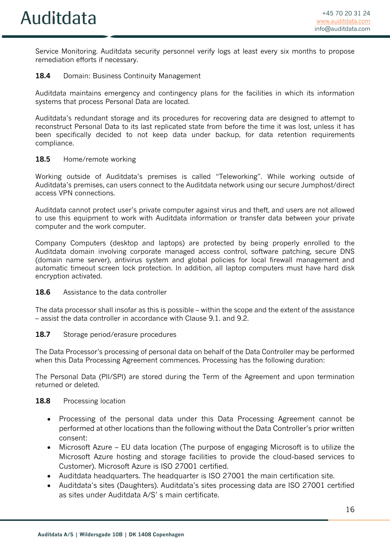Service Monitoring. Auditdata security personnel verify logs at least every six months to propose remediation efforts if necessary.

## **18.4** Domain: Business Continuity Management

Auditdata maintains emergency and contingency plans for the facilities in which its information systems that process Personal Data are located.

Auditdata's redundant storage and its procedures for recovering data are designed to attempt to reconstruct Personal Data to its last replicated state from before the time it was lost, unless it has been specifically decided to not keep data under backup, for data retention requirements compliance.

#### **18.5** Home/remote working

Working outside of Auditdata's premises is called "Teleworking". While working outside of Auditdata's premises, can users connect to the Auditdata network using our secure Jumphost/direct access VPN connections.

Auditdata cannot protect user's private computer against virus and theft, and users are not allowed to use this equipment to work with Auditdata information or transfer data between your private computer and the work computer.

Company Computers (desktop and laptops) are protected by being properly enrolled to the Auditdata domain involving corporate managed access control, software patching, secure DNS (domain name server), antivirus system and global policies for local firewall management and automatic timeout screen lock protection. In addition, all laptop computers must have hard disk encryption activated.

#### **18.6** Assistance to the data controller

The data processor shall insofar as this is possible – within the scope and the extent of the assistance – assist the data controller in accordance with Clause 9.1. and 9.2.

#### **18.7** Storage period/erasure procedures

The Data Processor's processing of personal data on behalf of the Data Controller may be performed when this Data Processing Agreement commences. Processing has the following duration:

The Personal Data (PII/SPI) are stored during the Term of the Agreement and upon termination returned or deleted.

#### 18.8 Processing location

- Processing of the personal data under this Data Processing Agreement cannot be performed at other locations than the following without the Data Controller's prior written consent:
- Microsoft Azure EU data location (The purpose of engaging Microsoft is to utilize the Microsoft Azure hosting and storage facilities to provide the cloud-based services to Customer). Microsoft Azure is ISO 27001 certified.
- Auditdata headquarters. The headquarter is ISO 27001 the main certification site.
- Auditdata's sites (Daughters). Auditdata's sites processing data are ISO 27001 certified as sites under Auditdata A/S' s main certificate.